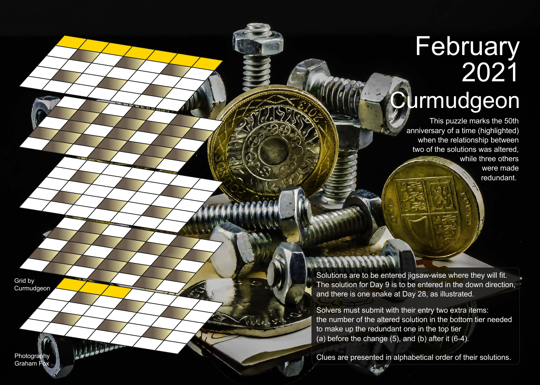## **February** 2021 **Curmudgeon**

This puzzle marks the 50th anniversary of a time (highlighted) when the relationship between two of the solutions was altered, while three others were made redundant.

Solutions are to be entered jigsaw-wise where they will fit. The solution for Day 9 is to be entered in the down direction, and there is one snake at Day 28, as illustrated.

Solvers must submit with their entry two extra items: the number of the altered solution in the bottom tier needed to make up the redundant one in the top tier (a) before the change  $(5)$ , and  $(b)$  after it  $(6-4)$ .

Clues are presented in alphabetical order of their solutions.

Grid by **Curmudgeon** 

Photography Graham Fox Lobbes ..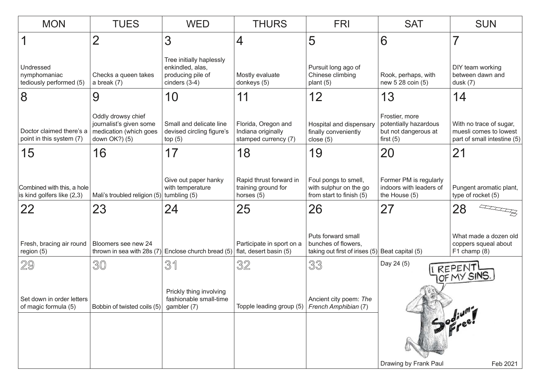| <b>MON</b>                                                                    | <b>TUES</b>                                                    | <b>WED</b>                                                                           | <b>THURS</b>                                                      | <b>FRI</b>                                                                  | <b>SAT</b>                                                                     | <b>SUN</b>                                                                       |
|-------------------------------------------------------------------------------|----------------------------------------------------------------|--------------------------------------------------------------------------------------|-------------------------------------------------------------------|-----------------------------------------------------------------------------|--------------------------------------------------------------------------------|----------------------------------------------------------------------------------|
|                                                                               | $\overline{2}$                                                 | 3                                                                                    | 4                                                                 | 5                                                                           | 6                                                                              | 7                                                                                |
| Undressed<br>nymphomaniac<br>tediously performed (5)                          | Checks a queen takes<br>a break $(7)$                          | Tree initially haplessly<br>enkindled, alas,<br>producing pile of<br>cinders $(3-4)$ | Mostly evaluate<br>donkeys (5)                                    | Pursuit long ago of<br>Chinese climbing<br>plant $(5)$                      | Rook, perhaps, with<br>new 5 28 coin (5)                                       | DIY team working<br>between dawn and<br>dusk $(7)$                               |
| 8                                                                             | 9                                                              | 10                                                                                   | 11                                                                | 12                                                                          | 13                                                                             | 14                                                                               |
| Doctor claimed there's a   medication (which goes<br>point in this system (7) | Oddly drowsy chief<br>journalist's given some<br>down OK?) (5) | Small and delicate line<br>devised circling figure's<br>top(5)                       | Florida, Oregon and<br>Indiana originally<br>stamped currency (7) | Hospital and dispensary<br>finally conveniently<br>close $(5)$              | Frostier, more<br>potentially hazardous<br>but not dangerous at<br>first $(5)$ | With no trace of sugar,<br>muesli comes to lowest<br>part of small intestine (5) |
| 15                                                                            | 16                                                             | 17                                                                                   | 18                                                                | 19                                                                          | 20                                                                             | 21                                                                               |
| Combined with this, a hole<br>is kind golfers like (2,3)                      | Mali's troubled religion (5)                                   | Give out paper hanky<br>with temperature<br>tumbling (5)                             | Rapid thrust forward in<br>training ground for<br>horses (5)      | Foul pongs to smell,<br>with sulphur on the go<br>from start to finish (5)  | Former PM is regularly<br>indoors with leaders of<br>the House (5)             | Pungent aromatic plant,<br>type of rocket (5)                                    |
| 22                                                                            | 23                                                             | 24                                                                                   | 25                                                                | 26                                                                          | 27                                                                             | 28                                                                               |
| Fresh, bracing air round<br>region (5)                                        | Bloomers see new 24<br>thrown in sea with 28s (7)              | Enclose church bread (5)                                                             | Participate in sport on a<br>flat, desert basin (5)               | Puts forward small<br>bunches of flowers,<br>taking out first of irises (5) | Beat capital (5)                                                               | What made a dozen old<br>coppers squeal about<br>$F1$ champ $(8)$                |
| 29                                                                            | 30                                                             | 31                                                                                   | 32                                                                | 33                                                                          | Day 24 (5)                                                                     |                                                                                  |
| Set down in order letters<br>of magic formula (5)                             | Bobbin of twisted coils (5)                                    | Prickly thing involving<br>fashionable small-time<br>gambler (7)                     | Topple leading group (5)                                          | Ancient city poem: The<br>French Amphibian (7)                              | I REPENT                                                                       |                                                                                  |
|                                                                               |                                                                |                                                                                      |                                                                   |                                                                             | Drawing by Frank Paul                                                          | Feb 2021                                                                         |